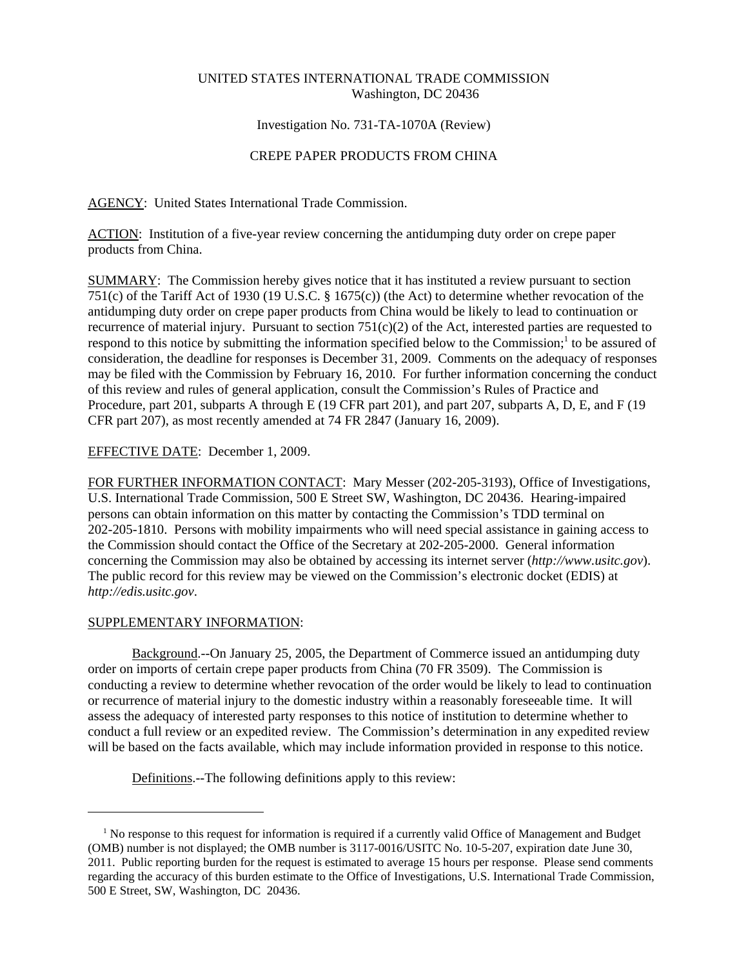## UNITED STATES INTERNATIONAL TRADE COMMISSION Washington, DC 20436

## Investigation No. 731-TA-1070A (Review)

# CREPE PAPER PRODUCTS FROM CHINA

AGENCY: United States International Trade Commission.

ACTION: Institution of a five-year review concerning the antidumping duty order on crepe paper products from China.

SUMMARY: The Commission hereby gives notice that it has instituted a review pursuant to section 751(c) of the Tariff Act of 1930 (19 U.S.C. § 1675(c)) (the Act) to determine whether revocation of the antidumping duty order on crepe paper products from China would be likely to lead to continuation or recurrence of material injury. Pursuant to section  $751(c)(2)$  of the Act, interested parties are requested to respond to this notice by submitting the information specified below to the Commission;<sup>1</sup> to be assured of consideration, the deadline for responses is December 31, 2009. Comments on the adequacy of responses may be filed with the Commission by February 16, 2010. For further information concerning the conduct of this review and rules of general application, consult the Commission's Rules of Practice and Procedure, part 201, subparts A through E (19 CFR part 201), and part 207, subparts A, D, E, and F (19 CFR part 207), as most recently amended at 74 FR 2847 (January 16, 2009).

## EFFECTIVE DATE: December 1, 2009.

FOR FURTHER INFORMATION CONTACT: Mary Messer (202-205-3193), Office of Investigations, U.S. International Trade Commission, 500 E Street SW, Washington, DC 20436. Hearing-impaired persons can obtain information on this matter by contacting the Commission's TDD terminal on 202-205-1810. Persons with mobility impairments who will need special assistance in gaining access to the Commission should contact the Office of the Secretary at 202-205-2000. General information concerning the Commission may also be obtained by accessing its internet server (*http://www.usitc.gov*). The public record for this review may be viewed on the Commission's electronic docket (EDIS) at *http://edis.usitc.gov*.

## SUPPLEMENTARY INFORMATION:

Background.--On January 25, 2005, the Department of Commerce issued an antidumping duty order on imports of certain crepe paper products from China (70 FR 3509). The Commission is conducting a review to determine whether revocation of the order would be likely to lead to continuation or recurrence of material injury to the domestic industry within a reasonably foreseeable time. It will assess the adequacy of interested party responses to this notice of institution to determine whether to conduct a full review or an expedited review. The Commission's determination in any expedited review will be based on the facts available, which may include information provided in response to this notice.

Definitions.--The following definitions apply to this review:

<sup>&</sup>lt;sup>1</sup> No response to this request for information is required if a currently valid Office of Management and Budget (OMB) number is not displayed; the OMB number is 3117-0016/USITC No. 10-5-207, expiration date June 30, 2011. Public reporting burden for the request is estimated to average 15 hours per response. Please send comments regarding the accuracy of this burden estimate to the Office of Investigations, U.S. International Trade Commission, 500 E Street, SW, Washington, DC 20436.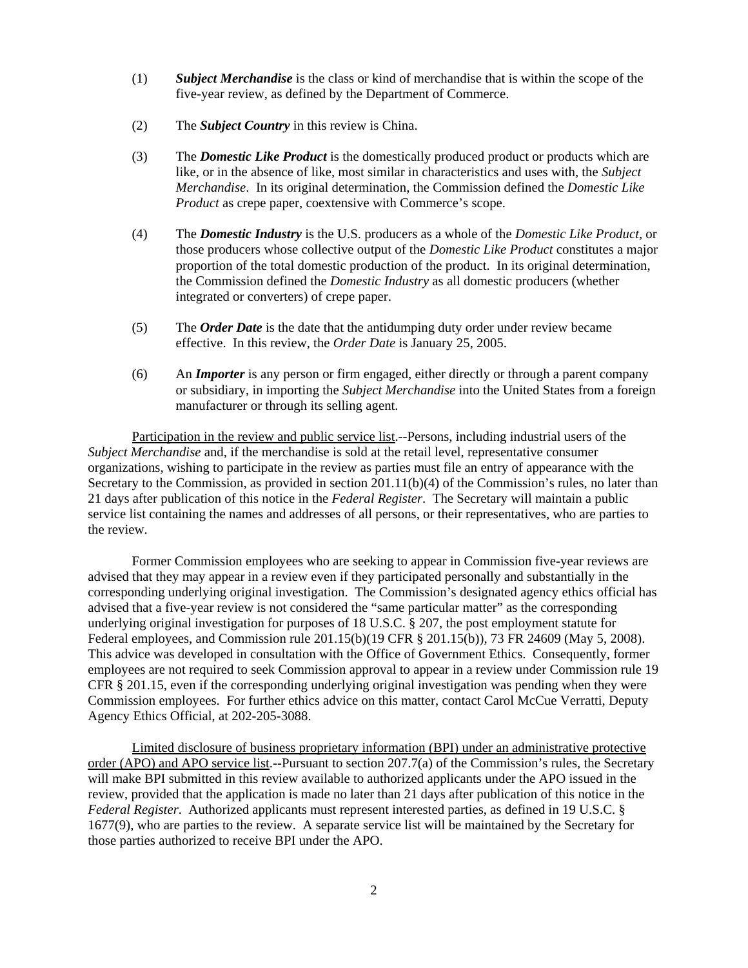- (1) *Subject Merchandise* is the class or kind of merchandise that is within the scope of the five-year review, as defined by the Department of Commerce.
- (2) The *Subject Country* in this review is China.
- (3) The *Domestic Like Product* is the domestically produced product or products which are like, or in the absence of like, most similar in characteristics and uses with, the *Subject Merchandise*. In its original determination, the Commission defined the *Domestic Like Product* as crepe paper, coextensive with Commerce's scope.
- (4) The *Domestic Industry* is the U.S. producers as a whole of the *Domestic Like Product*, or those producers whose collective output of the *Domestic Like Product* constitutes a major proportion of the total domestic production of the product. In its original determination, the Commission defined the *Domestic Industry* as all domestic producers (whether integrated or converters) of crepe paper.
- (5) The *Order Date* is the date that the antidumping duty order under review became effective. In this review, the *Order Date* is January 25, 2005.
- (6) An *Importer* is any person or firm engaged, either directly or through a parent company or subsidiary, in importing the *Subject Merchandise* into the United States from a foreign manufacturer or through its selling agent.

Participation in the review and public service list.--Persons, including industrial users of the *Subject Merchandise* and, if the merchandise is sold at the retail level, representative consumer organizations, wishing to participate in the review as parties must file an entry of appearance with the Secretary to the Commission, as provided in section 201.11(b)(4) of the Commission's rules, no later than 21 days after publication of this notice in the *Federal Register*. The Secretary will maintain a public service list containing the names and addresses of all persons, or their representatives, who are parties to the review.

Former Commission employees who are seeking to appear in Commission five-year reviews are advised that they may appear in a review even if they participated personally and substantially in the corresponding underlying original investigation. The Commission's designated agency ethics official has advised that a five-year review is not considered the "same particular matter" as the corresponding underlying original investigation for purposes of 18 U.S.C. § 207, the post employment statute for Federal employees, and Commission rule 201.15(b)(19 CFR § 201.15(b)), 73 FR 24609 (May 5, 2008). This advice was developed in consultation with the Office of Government Ethics. Consequently, former employees are not required to seek Commission approval to appear in a review under Commission rule 19 CFR § 201.15, even if the corresponding underlying original investigation was pending when they were Commission employees. For further ethics advice on this matter, contact Carol McCue Verratti, Deputy Agency Ethics Official, at 202-205-3088.

Limited disclosure of business proprietary information (BPI) under an administrative protective order (APO) and APO service list.--Pursuant to section 207.7(a) of the Commission's rules, the Secretary will make BPI submitted in this review available to authorized applicants under the APO issued in the review, provided that the application is made no later than 21 days after publication of this notice in the *Federal Register*. Authorized applicants must represent interested parties, as defined in 19 U.S.C. § 1677(9), who are parties to the review. A separate service list will be maintained by the Secretary for those parties authorized to receive BPI under the APO.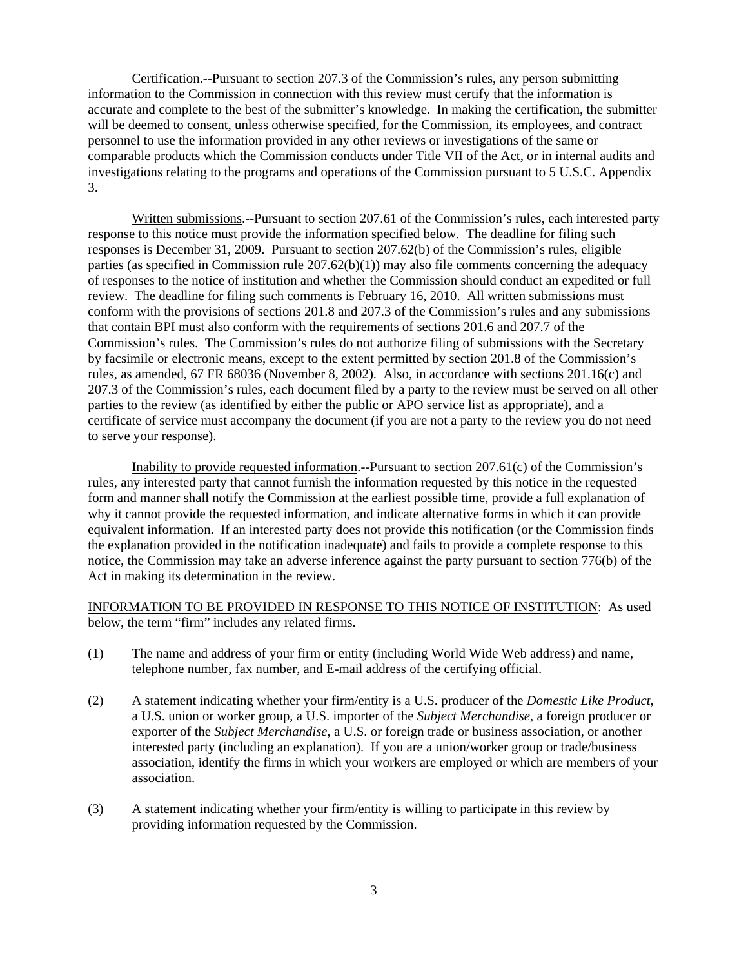Certification.--Pursuant to section 207.3 of the Commission's rules, any person submitting information to the Commission in connection with this review must certify that the information is accurate and complete to the best of the submitter's knowledge. In making the certification, the submitter will be deemed to consent, unless otherwise specified, for the Commission, its employees, and contract personnel to use the information provided in any other reviews or investigations of the same or comparable products which the Commission conducts under Title VII of the Act, or in internal audits and investigations relating to the programs and operations of the Commission pursuant to 5 U.S.C. Appendix 3.

Written submissions.--Pursuant to section 207.61 of the Commission's rules, each interested party response to this notice must provide the information specified below. The deadline for filing such responses is December 31, 2009. Pursuant to section 207.62(b) of the Commission's rules, eligible parties (as specified in Commission rule  $207.62(b)(1)$ ) may also file comments concerning the adequacy of responses to the notice of institution and whether the Commission should conduct an expedited or full review. The deadline for filing such comments is February 16, 2010. All written submissions must conform with the provisions of sections 201.8 and 207.3 of the Commission's rules and any submissions that contain BPI must also conform with the requirements of sections 201.6 and 207.7 of the Commission's rules. The Commission's rules do not authorize filing of submissions with the Secretary by facsimile or electronic means, except to the extent permitted by section 201.8 of the Commission's rules, as amended, 67 FR 68036 (November 8, 2002). Also, in accordance with sections 201.16(c) and 207.3 of the Commission's rules, each document filed by a party to the review must be served on all other parties to the review (as identified by either the public or APO service list as appropriate), and a certificate of service must accompany the document (if you are not a party to the review you do not need to serve your response).

Inability to provide requested information.--Pursuant to section 207.61(c) of the Commission's rules, any interested party that cannot furnish the information requested by this notice in the requested form and manner shall notify the Commission at the earliest possible time, provide a full explanation of why it cannot provide the requested information, and indicate alternative forms in which it can provide equivalent information. If an interested party does not provide this notification (or the Commission finds the explanation provided in the notification inadequate) and fails to provide a complete response to this notice, the Commission may take an adverse inference against the party pursuant to section 776(b) of the Act in making its determination in the review.

INFORMATION TO BE PROVIDED IN RESPONSE TO THIS NOTICE OF INSTITUTION: As used below, the term "firm" includes any related firms.

- (1) The name and address of your firm or entity (including World Wide Web address) and name, telephone number, fax number, and E-mail address of the certifying official.
- (2) A statement indicating whether your firm/entity is a U.S. producer of the *Domestic Like Product*, a U.S. union or worker group, a U.S. importer of the *Subject Merchandise*, a foreign producer or exporter of the *Subject Merchandise*, a U.S. or foreign trade or business association, or another interested party (including an explanation). If you are a union/worker group or trade/business association, identify the firms in which your workers are employed or which are members of your association.
- (3) A statement indicating whether your firm/entity is willing to participate in this review by providing information requested by the Commission.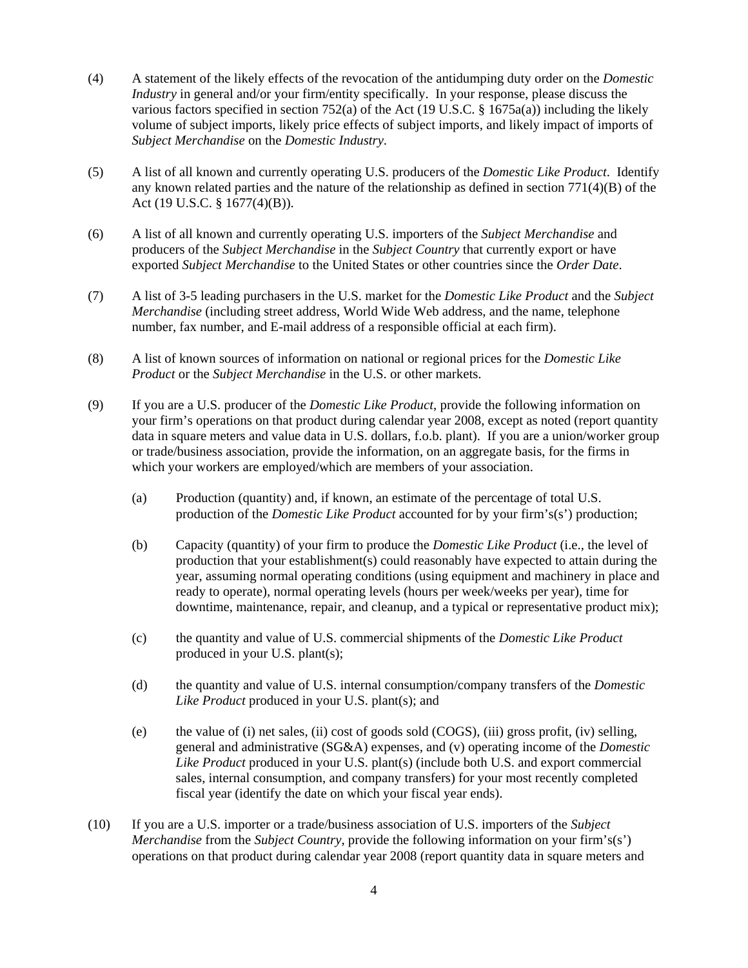- (4) A statement of the likely effects of the revocation of the antidumping duty order on the *Domestic Industry* in general and/or your firm/entity specifically. In your response, please discuss the various factors specified in section 752(a) of the Act (19 U.S.C. § 1675a(a)) including the likely volume of subject imports, likely price effects of subject imports, and likely impact of imports of *Subject Merchandise* on the *Domestic Industry*.
- (5) A list of all known and currently operating U.S. producers of the *Domestic Like Product*. Identify any known related parties and the nature of the relationship as defined in section  $771(4)(B)$  of the Act (19 U.S.C. § 1677(4)(B)).
- (6) A list of all known and currently operating U.S. importers of the *Subject Merchandise* and producers of the *Subject Merchandise* in the *Subject Country* that currently export or have exported *Subject Merchandise* to the United States or other countries since the *Order Date*.
- (7) A list of 3-5 leading purchasers in the U.S. market for the *Domestic Like Product* and the *Subject Merchandise* (including street address, World Wide Web address, and the name, telephone number, fax number, and E-mail address of a responsible official at each firm).
- (8) A list of known sources of information on national or regional prices for the *Domestic Like Product* or the *Subject Merchandise* in the U.S. or other markets.
- (9) If you are a U.S. producer of the *Domestic Like Product*, provide the following information on your firm's operations on that product during calendar year 2008, except as noted (report quantity data in square meters and value data in U.S. dollars, f.o.b. plant). If you are a union/worker group or trade/business association, provide the information, on an aggregate basis, for the firms in which your workers are employed/which are members of your association.
	- (a) Production (quantity) and, if known, an estimate of the percentage of total U.S. production of the *Domestic Like Product* accounted for by your firm's(s') production;
	- (b) Capacity (quantity) of your firm to produce the *Domestic Like Product* (i.e., the level of production that your establishment(s) could reasonably have expected to attain during the year, assuming normal operating conditions (using equipment and machinery in place and ready to operate), normal operating levels (hours per week/weeks per year), time for downtime, maintenance, repair, and cleanup, and a typical or representative product mix);
	- (c) the quantity and value of U.S. commercial shipments of the *Domestic Like Product* produced in your U.S. plant(s);
	- (d) the quantity and value of U.S. internal consumption/company transfers of the *Domestic Like Product* produced in your U.S. plant(s); and
	- (e) the value of (i) net sales, (ii) cost of goods sold (COGS), (iii) gross profit, (iv) selling, general and administrative (SG&A) expenses, and (v) operating income of the *Domestic Like Product* produced in your U.S. plant(s) (include both U.S. and export commercial sales, internal consumption, and company transfers) for your most recently completed fiscal year (identify the date on which your fiscal year ends).
- (10) If you are a U.S. importer or a trade/business association of U.S. importers of the *Subject Merchandise* from the *Subject Country*, provide the following information on your firm's(s') operations on that product during calendar year 2008 (report quantity data in square meters and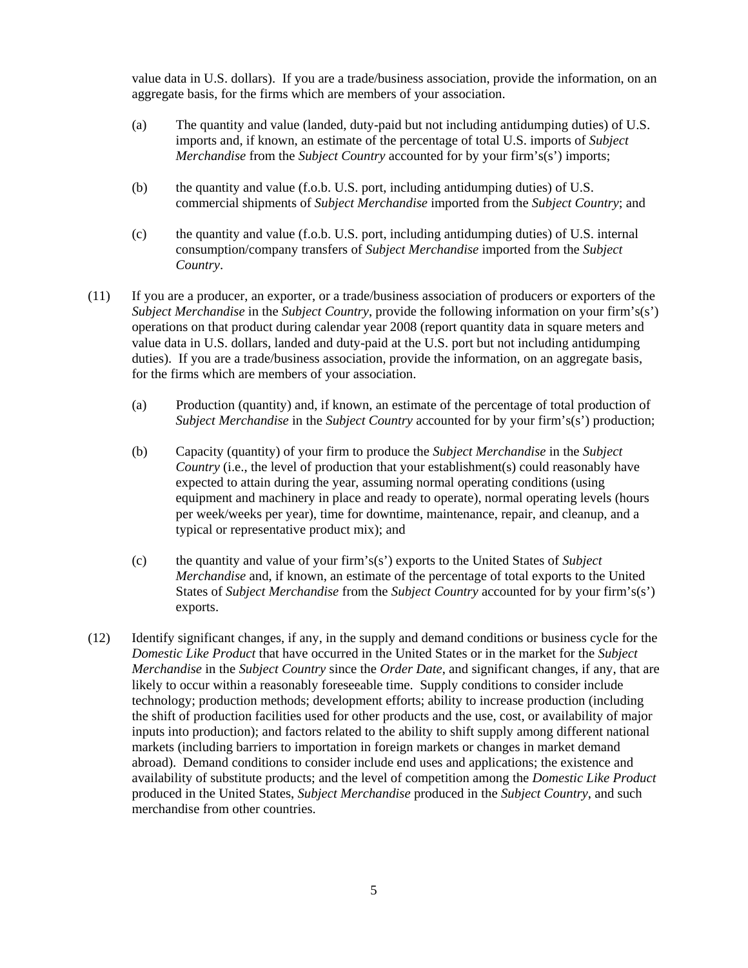value data in U.S. dollars). If you are a trade/business association, provide the information, on an aggregate basis, for the firms which are members of your association.

- (a) The quantity and value (landed, duty-paid but not including antidumping duties) of U.S. imports and, if known, an estimate of the percentage of total U.S. imports of *Subject Merchandise* from the *Subject Country* accounted for by your firm's(s') imports;
- (b) the quantity and value (f.o.b. U.S. port, including antidumping duties) of U.S. commercial shipments of *Subject Merchandise* imported from the *Subject Country*; and
- (c) the quantity and value (f.o.b. U.S. port, including antidumping duties) of U.S. internal consumption/company transfers of *Subject Merchandise* imported from the *Subject Country*.
- (11) If you are a producer, an exporter, or a trade/business association of producers or exporters of the *Subject Merchandise* in the *Subject Country*, provide the following information on your firm's(s') operations on that product during calendar year 2008 (report quantity data in square meters and value data in U.S. dollars, landed and duty-paid at the U.S. port but not including antidumping duties). If you are a trade/business association, provide the information, on an aggregate basis, for the firms which are members of your association.
	- (a) Production (quantity) and, if known, an estimate of the percentage of total production of *Subject Merchandise* in the *Subject Country* accounted for by your firm's(s') production;
	- (b) Capacity (quantity) of your firm to produce the *Subject Merchandise* in the *Subject Country* (i.e., the level of production that your establishment(s) could reasonably have expected to attain during the year, assuming normal operating conditions (using equipment and machinery in place and ready to operate), normal operating levels (hours per week/weeks per year), time for downtime, maintenance, repair, and cleanup, and a typical or representative product mix); and
	- (c) the quantity and value of your firm's(s') exports to the United States of *Subject Merchandise* and, if known, an estimate of the percentage of total exports to the United States of *Subject Merchandise* from the *Subject Country* accounted for by your firm's(s') exports.
- (12) Identify significant changes, if any, in the supply and demand conditions or business cycle for the *Domestic Like Product* that have occurred in the United States or in the market for the *Subject Merchandise* in the *Subject Country* since the *Order Date*, and significant changes, if any, that are likely to occur within a reasonably foreseeable time. Supply conditions to consider include technology; production methods; development efforts; ability to increase production (including the shift of production facilities used for other products and the use, cost, or availability of major inputs into production); and factors related to the ability to shift supply among different national markets (including barriers to importation in foreign markets or changes in market demand abroad). Demand conditions to consider include end uses and applications; the existence and availability of substitute products; and the level of competition among the *Domestic Like Product* produced in the United States, *Subject Merchandise* produced in the *Subject Country*, and such merchandise from other countries.